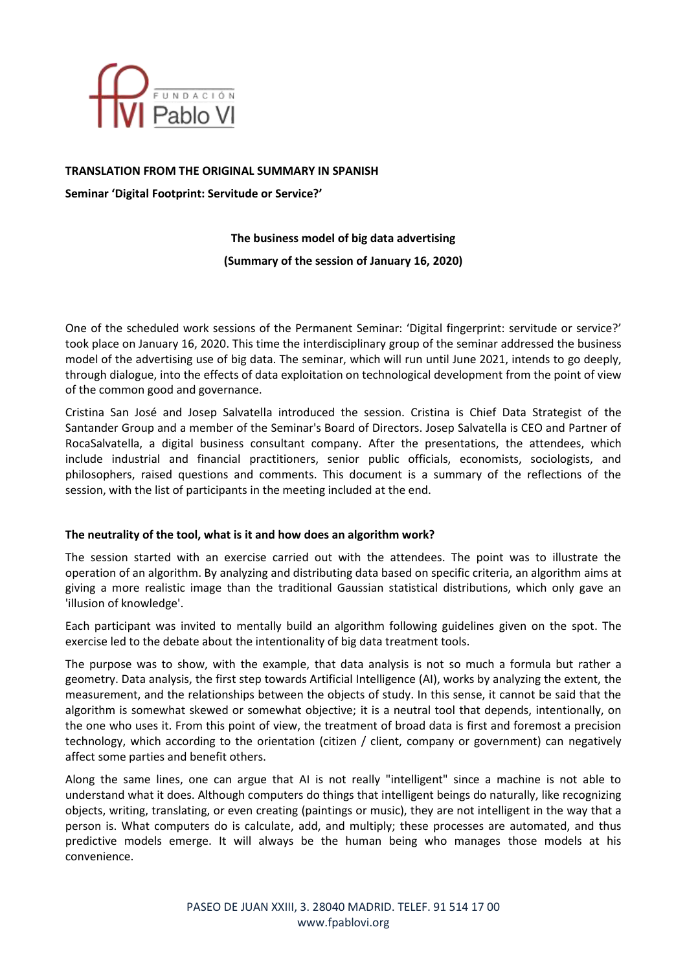

## **TRANSLATION FROM THE ORIGINAL SUMMARY IN SPANISH**

**Seminar 'Digital Footprint: Servitude or Service?'**

# **The business model of big data advertising (Summary of the session of January 16, 2020)**

One of the scheduled work sessions of the Permanent Seminar: 'Digital fingerprint: servitude or service?' took place on January 16, 2020. This time the interdisciplinary group of the seminar addressed the business model of the advertising use of big data. The seminar, which will run until June 2021, intends to go deeply, through dialogue, into the effects of data exploitation on technological development from the point of view of the common good and governance.

Cristina San José and Josep Salvatella introduced the session. Cristina is Chief Data Strategist of the Santander Group and a member of the Seminar's Board of Directors. Josep Salvatella is CEO and Partner of RocaSalvatella, a digital business consultant company. After the presentations, the attendees, which include industrial and financial practitioners, senior public officials, economists, sociologists, and philosophers, raised questions and comments. This document is a summary of the reflections of the session, with the list of participants in the meeting included at the end.

## **The neutrality of the tool, what is it and how does an algorithm work?**

The session started with an exercise carried out with the attendees. The point was to illustrate the operation of an algorithm. By analyzing and distributing data based on specific criteria, an algorithm aims at giving a more realistic image than the traditional Gaussian statistical distributions, which only gave an 'illusion of knowledge'.

Each participant was invited to mentally build an algorithm following guidelines given on the spot. The exercise led to the debate about the intentionality of big data treatment tools.

The purpose was to show, with the example, that data analysis is not so much a formula but rather a geometry. Data analysis, the first step towards Artificial Intelligence (AI), works by analyzing the extent, the measurement, and the relationships between the objects of study. In this sense, it cannot be said that the algorithm is somewhat skewed or somewhat objective; it is a neutral tool that depends, intentionally, on the one who uses it. From this point of view, the treatment of broad data is first and foremost a precision technology, which according to the orientation (citizen / client, company or government) can negatively affect some parties and benefit others.

Along the same lines, one can argue that AI is not really "intelligent" since a machine is not able to understand what it does. Although computers do things that intelligent beings do naturally, like recognizing objects, writing, translating, or even creating (paintings or music), they are not intelligent in the way that a person is. What computers do is calculate, add, and multiply; these processes are automated, and thus predictive models emerge. It will always be the human being who manages those models at his convenience.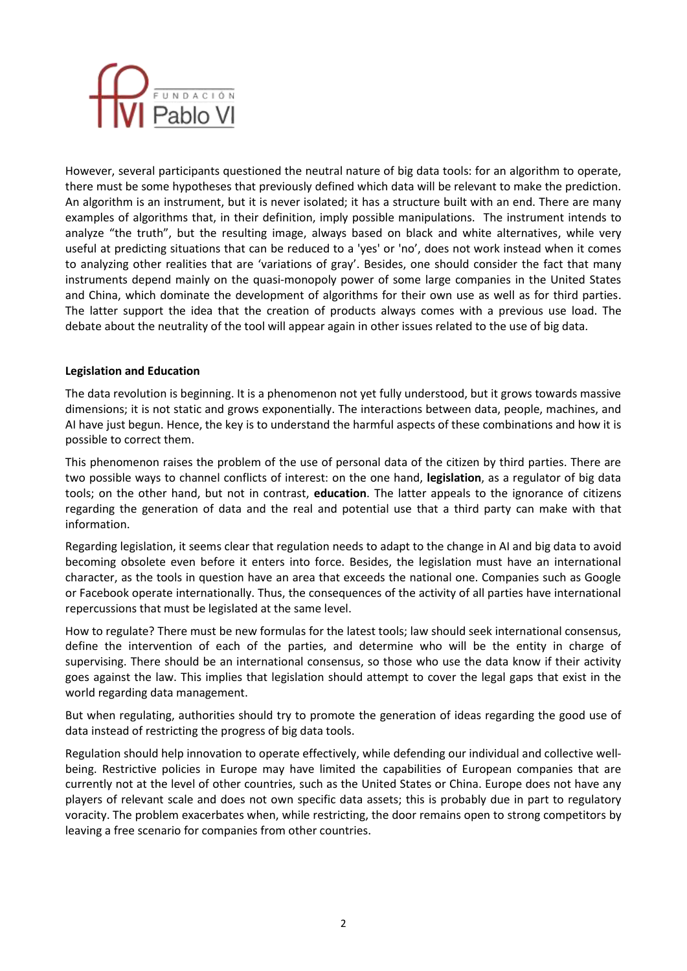

However, several participants questioned the neutral nature of big data tools: for an algorithm to operate, there must be some hypotheses that previously defined which data will be relevant to make the prediction. An algorithm is an instrument, but it is never isolated; it has a structure built with an end. There are many examples of algorithms that, in their definition, imply possible manipulations. The instrument intends to analyze "the truth", but the resulting image, always based on black and white alternatives, while very useful at predicting situations that can be reduced to a 'yes' or 'no', does not work instead when it comes to analyzing other realities that are 'variations of gray'. Besides, one should consider the fact that many instruments depend mainly on the quasi-monopoly power of some large companies in the United States and China, which dominate the development of algorithms for their own use as well as for third parties. The latter support the idea that the creation of products always comes with a previous use load. The debate about the neutrality of the tool will appear again in other issues related to the use of big data.

## **Legislation and Education**

The data revolution is beginning. It is a phenomenon not yet fully understood, but it grows towards massive dimensions; it is not static and grows exponentially. The interactions between data, people, machines, and AI have just begun. Hence, the key is to understand the harmful aspects of these combinations and how it is possible to correct them.

This phenomenon raises the problem of the use of personal data of the citizen by third parties. There are two possible ways to channel conflicts of interest: on the one hand, **legislation**, as a regulator of big data tools; on the other hand, but not in contrast, **education**. The latter appeals to the ignorance of citizens regarding the generation of data and the real and potential use that a third party can make with that information.

Regarding legislation, it seems clear that regulation needs to adapt to the change in AI and big data to avoid becoming obsolete even before it enters into force. Besides, the legislation must have an international character, as the tools in question have an area that exceeds the national one. Companies such as Google or Facebook operate internationally. Thus, the consequences of the activity of all parties have international repercussions that must be legislated at the same level.

How to regulate? There must be new formulas for the latest tools; law should seek international consensus, define the intervention of each of the parties, and determine who will be the entity in charge of supervising. There should be an international consensus, so those who use the data know if their activity goes against the law. This implies that legislation should attempt to cover the legal gaps that exist in the world regarding data management.

But when regulating, authorities should try to promote the generation of ideas regarding the good use of data instead of restricting the progress of big data tools.

Regulation should help innovation to operate effectively, while defending our individual and collective wellbeing. Restrictive policies in Europe may have limited the capabilities of European companies that are currently not at the level of other countries, such as the United States or China. Europe does not have any players of relevant scale and does not own specific data assets; this is probably due in part to regulatory voracity. The problem exacerbates when, while restricting, the door remains open to strong competitors by leaving a free scenario for companies from other countries.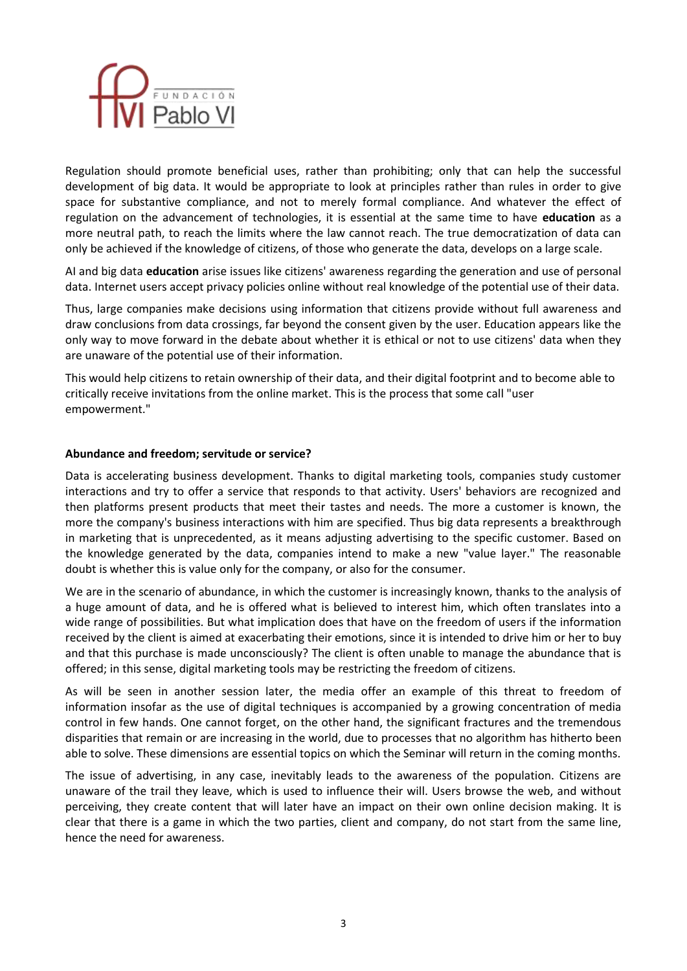

Regulation should promote beneficial uses, rather than prohibiting; only that can help the successful development of big data. It would be appropriate to look at principles rather than rules in order to give space for substantive compliance, and not to merely formal compliance. And whatever the effect of regulation on the advancement of technologies, it is essential at the same time to have **education** as a more neutral path, to reach the limits where the law cannot reach. The true democratization of data can only be achieved if the knowledge of citizens, of those who generate the data, develops on a large scale.

AI and big data **education** arise issues like citizens' awareness regarding the generation and use of personal data. Internet users accept privacy policies online without real knowledge of the potential use of their data.

Thus, large companies make decisions using information that citizens provide without full awareness and draw conclusions from data crossings, far beyond the consent given by the user. Education appears like the only way to move forward in the debate about whether it is ethical or not to use citizens' data when they are unaware of the potential use of their information.

This would help citizens to retain ownership of their data, and their digital footprint and to become able to critically receive invitations from the online market. This is the process that some call "user empowerment."

## **Abundance and freedom; servitude or service?**

Data is accelerating business development. Thanks to digital marketing tools, companies study customer interactions and try to offer a service that responds to that activity. Users' behaviors are recognized and then platforms present products that meet their tastes and needs. The more a customer is known, the more the company's business interactions with him are specified. Thus big data represents a breakthrough in marketing that is unprecedented, as it means adjusting advertising to the specific customer. Based on the knowledge generated by the data, companies intend to make a new "value layer." The reasonable doubt is whether this is value only for the company, or also for the consumer.

We are in the scenario of abundance, in which the customer is increasingly known, thanks to the analysis of a huge amount of data, and he is offered what is believed to interest him, which often translates into a wide range of possibilities. But what implication does that have on the freedom of users if the information received by the client is aimed at exacerbating their emotions, since it is intended to drive him or her to buy and that this purchase is made unconsciously? The client is often unable to manage the abundance that is offered; in this sense, digital marketing tools may be restricting the freedom of citizens.

As will be seen in another session later, the media offer an example of this threat to freedom of information insofar as the use of digital techniques is accompanied by a growing concentration of media control in few hands. One cannot forget, on the other hand, the significant fractures and the tremendous disparities that remain or are increasing in the world, due to processes that no algorithm has hitherto been able to solve. These dimensions are essential topics on which the Seminar will return in the coming months.

The issue of advertising, in any case, inevitably leads to the awareness of the population. Citizens are unaware of the trail they leave, which is used to influence their will. Users browse the web, and without perceiving, they create content that will later have an impact on their own online decision making. It is clear that there is a game in which the two parties, client and company, do not start from the same line, hence the need for awareness.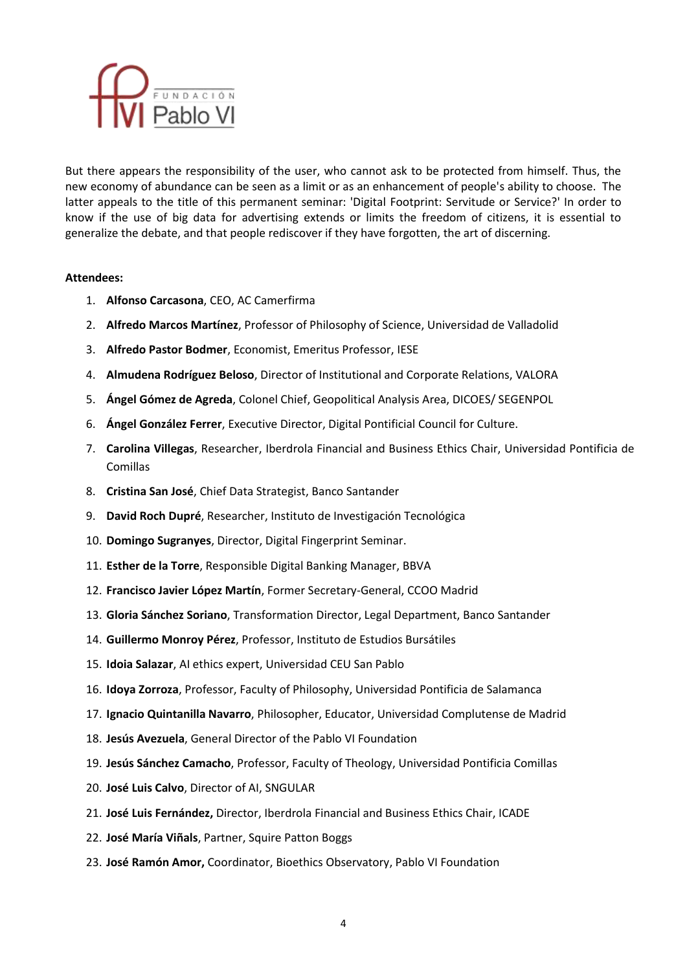

But there appears the responsibility of the user, who cannot ask to be protected from himself. Thus, the new economy of abundance can be seen as a limit or as an enhancement of people's ability to choose. The latter appeals to the title of this permanent seminar: 'Digital Footprint: Servitude or Service?' In order to know if the use of big data for advertising extends or limits the freedom of citizens, it is essential to generalize the debate, and that people rediscover if they have forgotten, the art of discerning.

## **Attendees:**

- 1. **Alfonso Carcasona**, CEO, AC Camerfirma
- 2. **Alfredo Marcos Martínez**, Professor of Philosophy of Science, Universidad de Valladolid
- 3. **Alfredo Pastor Bodmer**, Economist, Emeritus Professor, IESE
- 4. **Almudena Rodríguez Beloso**, Director of Institutional and Corporate Relations, VALORA
- 5. **Ángel Gómez de Agreda**, Colonel Chief, Geopolitical Analysis Area, DICOES/ SEGENPOL
- 6. **Ángel González Ferrer**, Executive Director, Digital Pontificial Council for Culture.
- 7. **Carolina Villegas**, Researcher, Iberdrola Financial and Business Ethics Chair, Universidad Pontificia de Comillas
- 8. **Cristina San José**, Chief Data Strategist, Banco Santander
- 9. **David Roch Dupré**, Researcher, Instituto de Investigación Tecnológica
- 10. **Domingo Sugranyes**, Director, Digital Fingerprint Seminar.
- 11. **Esther de la Torre**, Responsible Digital Banking Manager, BBVA
- 12. **Francisco Javier López Martín**, Former Secretary-General, CCOO Madrid
- 13. **Gloria Sánchez Soriano**, Transformation Director, Legal Department, Banco Santander
- 14. **Guillermo Monroy Pérez**, Professor, Instituto de Estudios Bursátiles
- 15. **Idoia Salazar**, AI ethics expert, Universidad CEU San Pablo
- 16. **Idoya Zorroza**, Professor, Faculty of Philosophy, Universidad Pontificia de Salamanca
- 17. **Ignacio Quintanilla Navarro**, Philosopher, Educator, Universidad Complutense de Madrid
- 18. **Jesús Avezuela**, General Director of the Pablo VI Foundation
- 19. **Jesús Sánchez Camacho**, Professor, Faculty of Theology, Universidad Pontificia Comillas
- 20. **José Luis Calvo**, Director of AI, SNGULAR
- 21. **José Luis Fernández,** Director, Iberdrola Financial and Business Ethics Chair, ICADE
- 22. **José María Viñals**, Partner, Squire Patton Boggs
- 23. **José Ramón Amor,** Coordinator, Bioethics Observatory, Pablo VI Foundation